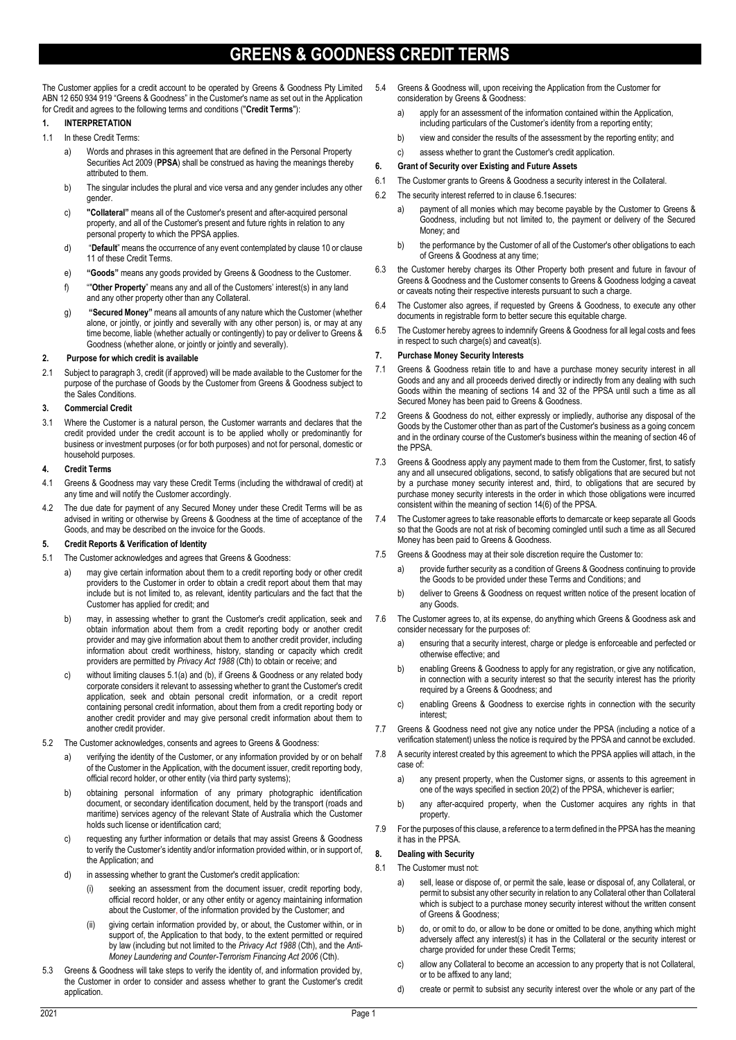# **GREENS & GOODNESS CREDIT TERMS**

The Customer applies for a credit account to be operated by Greens & Goodness Pty Limited ABN 12 650 934 919 "Greens & Goodness" in the Customer's name as set out in the Application for Credit and agrees to the following terms and conditions ("**Credit Terms**"):

# **1. INTERPRETATION**

- 1.1 In these Credit Terms:
	- a) Words and phrases in this agreement that are defined in the Personal Property Securities Act 2009 (**PPSA**) shall be construed as having the meanings thereby attributed to them.
	- b) The singular includes the plural and vice versa and any gender includes any other gender.
	- c) **"Collateral"** means all of the Customer's present and after-acquired personal property, and all of the Customer's present and future rights in relation to any personal property to which the PPSA applies.
	- d) "**Default**" means the occurrence of any event contemplated by clause 10 or clause 11 of these Credit Terms.
	- e) **"Goods"** means any goods provided by Greens & Goodness to the Customer.
	- f) ""**Other Property**" means any and all of the Customers' interest(s) in any land and any other property other than any Collateral.
	- g) **"Secured Money"** means all amounts of any nature which the Customer (whether alone, or jointly, or jointly and severally with any other person) is, or may at any time become, liable (whether actually or contingently) to pay or deliver to Greens & Goodness (whether alone, or jointly or jointly and severally).

# **2. Purpose for which credit is available**

2.1 Subject to paragraph 3, credit (if approved) will be made available to the Customer for the purpose of the purchase of Goods by the Customer from Greens & Goodness subject to the Sales Conditions.

#### **3. Commercial Credit**

3.1 Where the Customer is a natural person, the Customer warrants and declares that the credit provided under the credit account is to be applied wholly or predominantly for business or investment purposes (or for both purposes) and not for personal, domestic or household purposes.

#### **4. Credit Terms**

- 4.1 Greens & Goodness may vary these Credit Terms (including the withdrawal of credit) at any time and will notify the Customer accordingly.
- 4.2 The due date for payment of any Secured Money under these Credit Terms will be as advised in writing or otherwise by Greens & Goodness at the time of acceptance of the Goods, and may be described on the invoice for the Goods.

#### **5. Credit Reports & Verification of Identity**

- 5.1 The Customer acknowledges and agrees that Greens & Goodness:
	- a) may give certain information about them to a credit reporting body or other credit providers to the Customer in order to obtain a credit report about them that may include but is not limited to, as relevant, identity particulars and the fact that the Customer has applied for credit; and
	- b) may, in assessing whether to grant the Customer's credit application, seek and obtain information about them from a credit reporting body or another credit provider and may give information about them to another credit provider, including information about credit worthiness, history, standing or capacity which credit providers are permitted by *Privacy Act 1988* (Cth) to obtain or receive; and
	- c) without limiting clauses 5.1(a) and (b), if Greens & Goodness or any related body corporate considers it relevant to assessing whether to grant the Customer's credit application, seek and obtain personal credit information, or a credit report containing personal credit information, about them from a credit reporting body or another credit provider and may give personal credit information about them to another credit provider.
- 5.2 The Customer acknowledges, consents and agrees to Greens & Goodness:
	- a) verifying the identity of the Customer, or any information provided by or on behalf of the Customer in the Application, with the document issuer, credit reporting body, official record holder, or other entity (via third party systems);
	- b) obtaining personal information of any primary photographic identification document, or secondary identification document, held by the transport (roads and maritime) services agency of the relevant State of Australia which the Customer holds such license or identification card;
	- c) requesting any further information or details that may assist Greens & Goodness to verify the Customer's identity and/or information provided within, or in support of, the Application; and
	- d) in assessing whether to grant the Customer's credit application:
		- (i) seeking an assessment from the document issuer, credit reporting body, official record holder, or any other entity or agency maintaining information about the Customer, of the information provided by the Customer; and
		- giving certain information provided by, or about, the Customer within, or in support of, the Application to that body, to the extent permitted or required by law (including but not limited to the *Privacy Act 1988* (Cth), and the *Anti-Money Laundering and Counter-Terrorism Financing Act 2006* (Cth).
- 5.3 Greens & Goodness will take steps to verify the identity of, and information provided by, the Customer in order to consider and assess whether to grant the Customer's credit application.
- 5.4 Greens & Goodness will, upon receiving the Application from the Customer for consideration by Greens & Goodness:
	- a) apply for an assessment of the information contained within the Application, including particulars of the Customer's identity from a reporting entity;
	- b) view and consider the results of the assessment by the reporting entity; and
	- c) assess whether to grant the Customer's credit application.

### **6. Grant of Security over Existing and Future Assets**

- 6.1 The Customer grants to Greens & Goodness a security interest in the Collateral.
- 6.2 The security interest referred to in clause 6.1secures:
	- a) payment of all monies which may become payable by the Customer to Greens & Goodness, including but not limited to, the payment or delivery of the Secured Money; and
	- b) the performance by the Customer of all of the Customer's other obligations to each of Greens & Goodness at any time;
- 6.3 the Customer hereby charges its Other Property both present and future in favour of Greens & Goodness and the Customer consents to Greens & Goodness lodging a caveat or caveats noting their respective interests pursuant to such a charge.
- 6.4 The Customer also agrees, if requested by Greens & Goodness, to execute any other documents in registrable form to better secure this equitable charge.
- 6.5 The Customer hereby agrees to indemnify Greens & Goodness for all legal costs and fees in respect to such charge(s) and caveat(s).

#### **7. Purchase Money Security Interests**

- 7.1 Greens & Goodness retain title to and have a purchase money security interest in all Goods and any and all proceeds derived directly or indirectly from any dealing with such Goods within the meaning of sections 14 and 32 of the PPSA until such a time as all Secured Money has been paid to Greens & Goodness.
- 7.2 Greens & Goodness do not, either expressly or impliedly, authorise any disposal of the Goods by the Customer other than as part of the Customer's business as a going concern and in the ordinary course of the Customer's business within the meaning of section 46 of the PPSA.
- 7.3 Greens & Goodness apply any payment made to them from the Customer, first, to satisfy any and all unsecured obligations, second, to satisfy obligations that are secured but not by a purchase money security interest and, third, to obligations that are secured by purchase money security interests in the order in which those obligations were incurred consistent within the meaning of section 14(6) of the PPSA.
- 7.4 The Customer agrees to take reasonable efforts to demarcate or keep separate all Goods so that the Goods are not at risk of becoming comingled until such a time as all Secured Money has been paid to Greens & Goodness.
- 7.5 Greens & Goodness may at their sole discretion require the Customer to:
	- a) provide further security as a condition of Greens & Goodness continuing to provide the Goods to be provided under these Terms and Conditions; and
	- b) deliver to Greens & Goodness on request written notice of the present location of any Goods.
- 7.6 The Customer agrees to, at its expense, do anything which Greens & Goodness ask and consider necessary for the purposes of:
	- ensuring that a security interest, charge or pledge is enforceable and perfected or otherwise effective; and
	- b) enabling Greens & Goodness to apply for any registration, or give any notification, in connection with a security interest so that the security interest has the priority required by a Greens & Goodness; and
	- c) enabling Greens & Goodness to exercise rights in connection with the security interest;
- 7.7 Greens & Goodness need not give any notice under the PPSA (including a notice of a verification statement) unless the notice is required by the PPSA and cannot be excluded.
- 7.8 A security interest created by this agreement to which the PPSA applies will attach, in the case of:
	- a) any present property, when the Customer signs, or assents to this agreement in one of the ways specified in section 20(2) of the PPSA, whichever is earlier;
	- b) any after-acquired property, when the Customer acquires any rights in that property.
- 7.9 For the purposes of this clause, a reference to a term defined in the PPSA has the meaning it has in the PPSA.

# **8. Dealing with Security**

- 8.1 The Customer must not:
	- a) sell, lease or dispose of, or permit the sale, lease or disposal of, any Collateral, or permit to subsist any other security in relation to any Collateral other than Collateral which is subject to a purchase money security interest without the written consent of Greens & Goodness;
	- b) do, or omit to do, or allow to be done or omitted to be done, anything which might adversely affect any interest(s) it has in the Collateral or the security interest or charge provided for under these Credit Terms;
	- c) allow any Collateral to become an accession to any property that is not Collateral, or to be affixed to any land;
	- d) create or permit to subsist any security interest over the whole or any part of the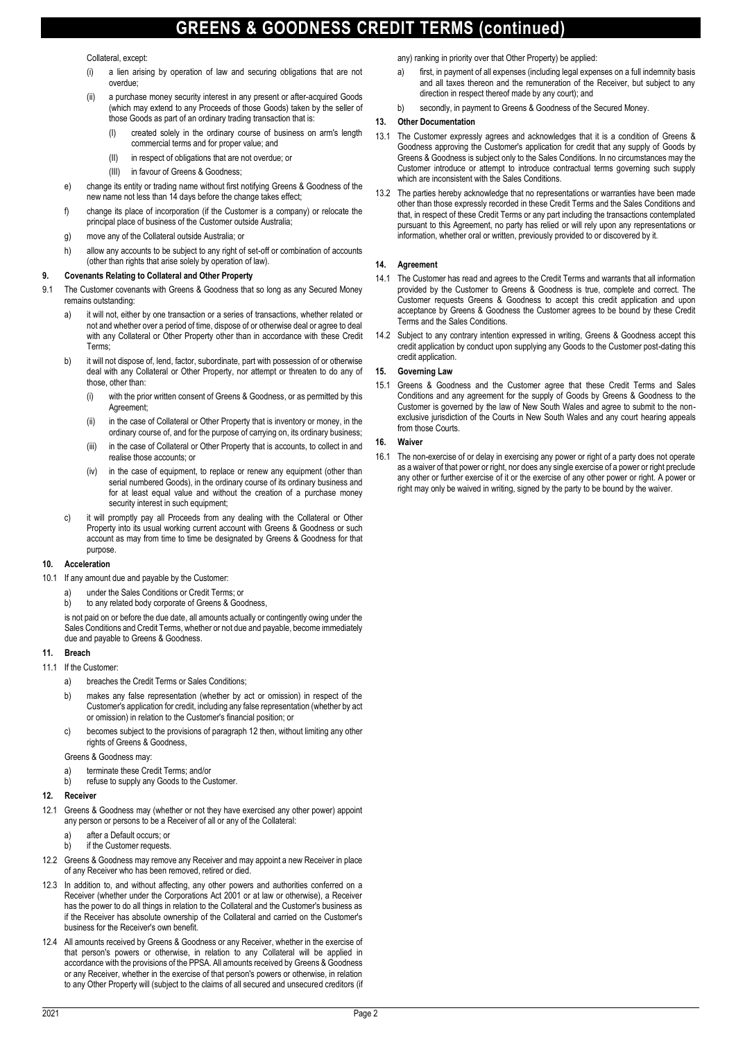# **GREENS & GOODNESS CREDIT TERMS (continued)**

Collateral, except:

- (i) a lien arising by operation of law and securing obligations that are not overdue;
- (ii) a purchase money security interest in any present or after-acquired Goods (which may extend to any Proceeds of those Goods) taken by the seller of those Goods as part of an ordinary trading transaction that is:
	- (I) created solely in the ordinary course of business on arm's length commercial terms and for proper value; and
	- (II) in respect of obligations that are not overdue; or
	- (III) in favour of Greens & Goodness;
- e) change its entity or trading name without first notifying Greens & Goodness of the new name not less than 14 days before the change takes effect;
- f) change its place of incorporation (if the Customer is a company) or relocate the principal place of business of the Customer outside Australia;
- g) move any of the Collateral outside Australia; or
- h) allow any accounts to be subject to any right of set-off or combination of accounts (other than rights that arise solely by operation of law).

#### **9. Covenants Relating to Collateral and Other Property**

- 9.1 The Customer covenants with Greens & Goodness that so long as any Secured Money remains outstanding:
	- a) it will not, either by one transaction or a series of transactions, whether related or not and whether over a period of time, dispose of or otherwise deal or agree to deal with any Collateral or Other Property other than in accordance with these Credit Terms;
	- b) it will not dispose of, lend, factor, subordinate, part with possession of or otherwise deal with any Collateral or Other Property, nor attempt or threaten to do any of those, other than:
		- (i) with the prior written consent of Greens & Goodness, or as permitted by this Agreement;
		- (ii) in the case of Collateral or Other Property that is inventory or money, in the ordinary course of, and for the purpose of carrying on, its ordinary business;
		- (iii) in the case of Collateral or Other Property that is accounts, to collect in and realise those accounts; or
		- (iv) in the case of equipment, to replace or renew any equipment (other than serial numbered Goods), in the ordinary course of its ordinary business and for at least equal value and without the creation of a purchase money security interest in such equipment;
	- c) it will promptly pay all Proceeds from any dealing with the Collateral or Other Property into its usual working current account with Greens & Goodness or such account as may from time to time be designated by Greens & Goodness for that purpose.

#### **10. Acceleration**

- 10.1 If any amount due and payable by the Customer:
	- a) under the Sales Conditions or Credit Terms; or
	- b) to any related body corporate of Greens & Goodness,

is not paid on or before the due date, all amounts actually or contingently owing under the Sales Conditions and Credit Terms, whether or not due and payable, become immediately due and payable to Greens & Goodness.

# **11. Breach**

- 11.1 If the Customer:
	- a) breaches the Credit Terms or Sales Conditions;
	- b) makes any false representation (whether by act or omission) in respect of the Customer's application for credit, including any false representation (whether by act or omission) in relation to the Customer's financial position; or
	- c) becomes subject to the provisions of paragraph 12 then, without limiting any other rights of Greens & Goodness,

Greens & Goodness may:

- a) terminate these Credit Terms; and/or
- b) refuse to supply any Goods to the Customer.

#### 12. **Receive**

- 12.1 Greens & Goodness may (whether or not they have exercised any other power) appoint any person or persons to be a Receiver of all or any of the Collateral:
	-
	- a) after a Default occurs; or<br>b) if the Customer requests if the Customer requests.
- 12.2 Greens & Goodness may remove any Receiver and may appoint a new Receiver in place of any Receiver who has been removed, retired or died.
- 12.3 In addition to, and without affecting, any other powers and authorities conferred on a Receiver (whether under the Corporations Act 2001 or at law or otherwise), a Receiver has the power to do all things in relation to the Collateral and the Customer's business as if the Receiver has absolute ownership of the Collateral and carried on the Customer's business for the Receiver's own benefit.
- 12.4 All amounts received by Greens & Goodness or any Receiver, whether in the exercise of that person's powers or otherwise, in relation to any Collateral will be applied in accordance with the provisions of the PPSA. All amounts received by Greens & Goodness or any Receiver, whether in the exercise of that person's powers or otherwise, in relation to any Other Property will (subject to the claims of all secured and unsecured creditors (if

any) ranking in priority over that Other Property) be applied:

- a) first, in payment of all expenses (including legal expenses on a full indemnity basis and all taxes thereon and the remuneration of the Receiver, but subject to any direction in respect thereof made by any court); and
- b) secondly, in payment to Greens & Goodness of the Secured Money.

# **13. Other Documentation**

- 13.1 The Customer expressly agrees and acknowledges that it is a condition of Greens & Goodness approving the Customer's application for credit that any supply of Goods by Greens & Goodness is subject only to the Sales Conditions. In no circumstances may the Customer introduce or attempt to introduce contractual terms governing such supply which are inconsistent with the Sales Conditions.
- 13.2 The parties hereby acknowledge that no representations or warranties have been made other than those expressly recorded in these Credit Terms and the Sales Conditions and that, in respect of these Credit Terms or any part including the transactions contemplated pursuant to this Agreement, no party has relied or will rely upon any representations or information, whether oral or written, previously provided to or discovered by it.

### **14. Agreement**

- 14.1 The Customer has read and agrees to the Credit Terms and warrants that all information provided by the Customer to Greens & Goodness is true, complete and correct. The Customer requests Greens & Goodness to accept this credit application and upon acceptance by Greens & Goodness the Customer agrees to be bound by these Credit Terms and the Sales Conditions.
- 14.2 Subject to any contrary intention expressed in writing, Greens & Goodness accept this credit application by conduct upon supplying any Goods to the Customer post-dating this credit application.

# **15. Governing Law**

15.1 Greens & Goodness and the Customer agree that these Credit Terms and Sales Conditions and any agreement for the supply of Goods by Greens & Goodness to the Customer is governed by the law of New South Wales and agree to submit to the nonexclusive jurisdiction of the Courts in New South Wales and any court hearing appeals from those Courts.

# **16. Waiver**

16.1 The non-exercise of or delay in exercising any power or right of a party does not operate as a waiver of that power or right, nor does any single exercise of a power or right preclude any other or further exercise of it or the exercise of any other power or right. A power or right may only be waived in writing, signed by the party to be bound by the waiver.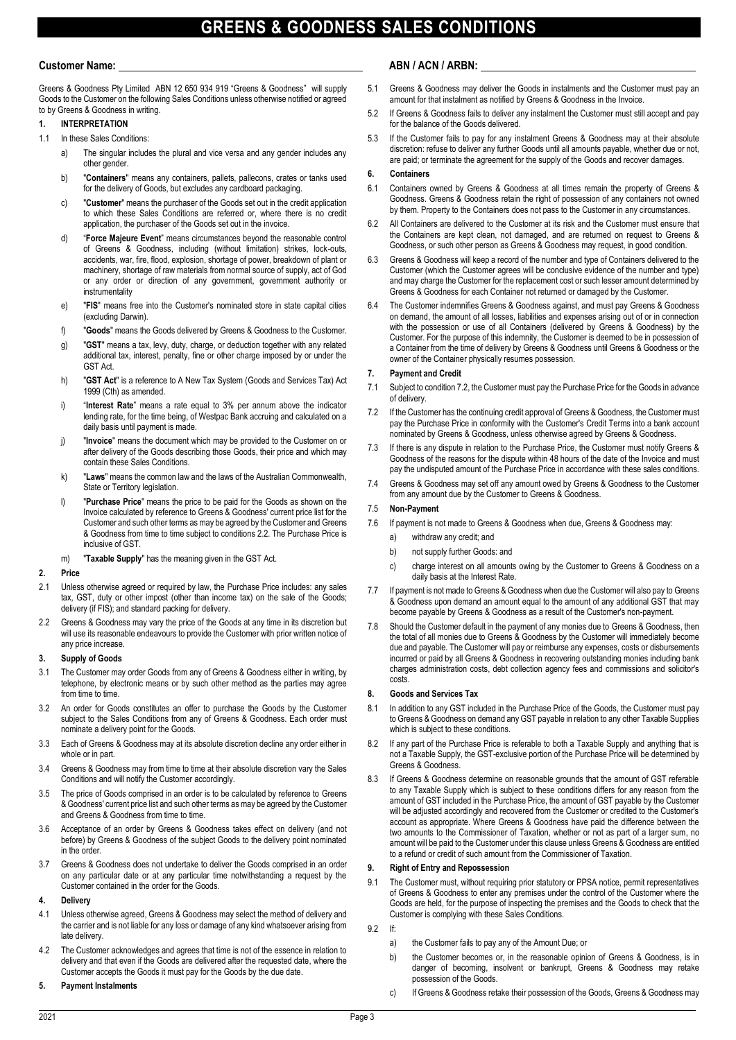# **GREENS & GOODNESS SALES CONDITIONS**

Greens & Goodness Pty Limited ABN 12 650 934 919 "Greens & Goodness" will supply Goods to the Customer on the following Sales Conditions unless otherwise notified or agreed to by Greens & Goodness in writing.

# **1. INTERPRETATION**

- 1.1 In these Sales Conditions:
	- a) The singular includes the plural and vice versa and any gender includes any other gender.
	- b) "**Containers**" means any containers, pallets, pallecons, crates or tanks used for the delivery of Goods, but excludes any cardboard packaging.
	- c) "**Customer**" means the purchaser of the Goods set out in the credit application to which these Sales Conditions are referred or, where there is no credit application, the purchaser of the Goods set out in the invoice.
	- d) "**Force Majeure Event**" means circumstances beyond the reasonable control of Greens & Goodness, including (without limitation) strikes, lock-outs, accidents, war, fire, flood, explosion, shortage of power, breakdown of plant or machinery, shortage of raw materials from normal source of supply, act of God or any order or direction of any government, government authority or instrumentality
	- e) "**FIS**" means free into the Customer's nominated store in state capital cities (excluding Darwin).
	- f) "**Goods**" means the Goods delivered by Greens & Goodness to the Customer.
	- g) "**GST**" means a tax, levy, duty, charge, or deduction together with any related additional tax, interest, penalty, fine or other charge imposed by or under the GST Act.
	- h) "**GST Act**" is a reference to A New Tax System (Goods and Services Tax) Act 1999 (Cth) as amended.
	- i) "**Interest Rate**" means a rate equal to 3% per annum above the indicator lending rate, for the time being, of Westpac Bank accruing and calculated on a daily basis until payment is made.
	- j) "**Invoice**" means the document which may be provided to the Customer on or after delivery of the Goods describing those Goods, their price and which may contain these Sales Conditions.
	- k) "**Laws**" means the common law and the laws of the Australian Commonwealth, State or Territory legislation.
	- l) "**Purchase Price**" means the price to be paid for the Goods as shown on the Invoice calculated by reference to Greens & Goodness' current price list for the Customer and such other terms as may be agreed by the Customer and Greens & Goodness from time to time subject to conditions 2.2. The Purchase Price is inclusive of GST.
	- m) "**Taxable Supply**" has the meaning given in the GST Act.

# **2. Price**

- 2.1 Unless otherwise agreed or required by law, the Purchase Price includes: any sales tax, GST, duty or other impost (other than income tax) on the sale of the Goods; delivery (if FIS); and standard packing for delivery.
- 2.2 Greens & Goodness may vary the price of the Goods at any time in its discretion but will use its reasonable endeavours to provide the Customer with prior written notice of any price increase.

# **3. Supply of Goods**

- 3.1 The Customer may order Goods from any of Greens & Goodness either in writing, by telephone, by electronic means or by such other method as the parties may agree from time to time.
- 3.2 An order for Goods constitutes an offer to purchase the Goods by the Customer subject to the Sales Conditions from any of Greens & Goodness. Each order must nominate a delivery point for the Goods.
- 3.3 Each of Greens & Goodness may at its absolute discretion decline any order either in whole or in part.
- 3.4 Greens & Goodness may from time to time at their absolute discretion vary the Sales Conditions and will notify the Customer accordingly.
- 3.5 The price of Goods comprised in an order is to be calculated by reference to Greens & Goodness' current price list and such other terms as may be agreed by the Customer and Greens & Goodness from time to time.
- 3.6 Acceptance of an order by Greens & Goodness takes effect on delivery (and not before) by Greens & Goodness of the subject Goods to the delivery point nominated in the order.
- 3.7 Greens & Goodness does not undertake to deliver the Goods comprised in an order on any particular date or at any particular time notwithstanding a request by the Customer contained in the order for the Goods.

# **4. Delivery**

- 4.1 Unless otherwise agreed, Greens & Goodness may select the method of delivery and the carrier and is not liable for any loss or damage of any kind whatsoever arising from late delivery.
- 4.2 The Customer acknowledges and agrees that time is not of the essence in relation to delivery and that even if the Goods are delivered after the requested date, where the Customer accepts the Goods it must pay for the Goods by the due date.

# **5. Payment Instalments**

# **Customer Name: ABN / ACN / ARBN:**

- 5.1 Greens & Goodness may deliver the Goods in instalments and the Customer must pay an amount for that instalment as notified by Greens & Goodness in the Invoice.
- 5.2 If Greens & Goodness fails to deliver any instalment the Customer must still accept and pay for the balance of the Goods delivered.
- 5.3 If the Customer fails to pay for any instalment Greens & Goodness may at their absolute discretion: refuse to deliver any further Goods until all amounts payable, whether due or not, are paid; or terminate the agreement for the supply of the Goods and recover damages.

# **6. Containers**

- 6.1 Containers owned by Greens & Goodness at all times remain the property of Greens & Goodness. Greens & Goodness retain the right of possession of any containers not owned by them. Property to the Containers does not pass to the Customer in any circumstances.
- 6.2 All Containers are delivered to the Customer at its risk and the Customer must ensure that the Containers are kept clean, not damaged, and are returned on request to Greens & Goodness, or such other person as Greens & Goodness may request, in good condition.
- Greens & Goodness will keep a record of the number and type of Containers delivered to the Customer (which the Customer agrees will be conclusive evidence of the number and type) and may charge the Customer for the replacement cost or such lesser amount determined by Greens & Goodness for each Container not returned or damaged by the Customer.
- 6.4 The Customer indemnifies Greens & Goodness against, and must pay Greens & Goodness on demand, the amount of all losses, liabilities and expenses arising out of or in connection with the possession or use of all Containers (delivered by Greens & Goodness) by the Customer. For the purpose of this indemnity, the Customer is deemed to be in possession of a Container from the time of delivery by Greens & Goodness until Greens & Goodness or the owner of the Container physically resumes possession.

# **7. Payment and Credit**

- 7.1 Subject to condition 7.2, the Customer must pay the Purchase Price for the Goods in advance of delivery.
- 7.2 If the Customer has the continuing credit approval of Greens & Goodness, the Customer must pay the Purchase Price in conformity with the Customer's Credit Terms into a bank account nominated by Greens & Goodness, unless otherwise agreed by Greens & Goodness.
- 7.3 If there is any dispute in relation to the Purchase Price, the Customer must notify Greens & Goodness of the reasons for the dispute within 48 hours of the date of the Invoice and must pay the undisputed amount of the Purchase Price in accordance with these sales conditions.
- 7.4 Greens & Goodness may set off any amount owed by Greens & Goodness to the Customer from any amount due by the Customer to Greens & Goodness.

# 7.5 **Non-Payment**

- 7.6 If payment is not made to Greens & Goodness when due, Greens & Goodness may:
	- a) withdraw any credit; and
	- b) not supply further Goods: and
	- c) charge interest on all amounts owing by the Customer to Greens & Goodness on a daily basis at the Interest Rate.
- 7.7 If payment is not made to Greens & Goodness when due the Customer will also pay to Greens & Goodness upon demand an amount equal to the amount of any additional GST that may become payable by Greens & Goodness as a result of the Customer's non-payment.
- 7.8 Should the Customer default in the payment of any monies due to Greens & Goodness, then the total of all monies due to Greens & Goodness by the Customer will immediately become due and payable. The Customer will pay or reimburse any expenses, costs or disbursements incurred or paid by all Greens & Goodness in recovering outstanding monies including bank charges administration costs, debt collection agency fees and commissions and solicitor's costs.

# **8. Goods and Services Tax**

- 8.1 In addition to any GST included in the Purchase Price of the Goods, the Customer must pay to Greens & Goodness on demand any GST payable in relation to any other Taxable Supplies which is subject to these conditions.
- 8.2 If any part of the Purchase Price is referable to both a Taxable Supply and anything that is not a Taxable Supply, the GST-exclusive portion of the Purchase Price will be determined by Greens & Goodness.
- 8.3 If Greens & Goodness determine on reasonable grounds that the amount of GST referable to any Taxable Supply which is subject to these conditions differs for any reason from the amount of GST included in the Purchase Price, the amount of GST payable by the Customer will be adjusted accordingly and recovered from the Customer or credited to the Customer's account as appropriate. Where Greens & Goodness have paid the difference between the two amounts to the Commissioner of Taxation, whether or not as part of a larger sum, no amount will be paid to the Customer under this clause unless Greens & Goodness are entitled to a refund or credit of such amount from the Commissioner of Taxation.

# **9. Right of Entry and Repossession**

9.1 The Customer must, without requiring prior statutory or PPSA notice, permit representatives of Greens & Goodness to enter any premises under the control of the Customer where the Goods are held, for the purpose of inspecting the premises and the Goods to check that the Customer is complying with these Sales Conditions.

# 9.2 If:

- a) the Customer fails to pay any of the Amount Due; or
- b) the Customer becomes or, in the reasonable opinion of Greens & Goodness, is in danger of becoming, insolvent or bankrupt, Greens & Goodness may retake possession of the Goods.
- c) If Greens & Goodness retake their possession of the Goods, Greens & Goodness may